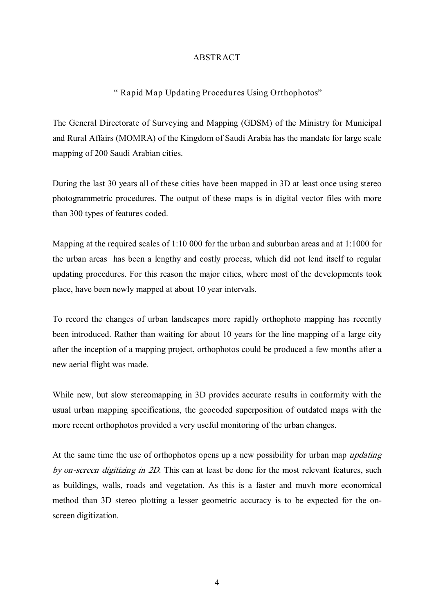## ABSTRACT

## " Rapid Map Updating Procedures Using Orthophotos"

The General Directorate of Surveying and Mapping (GDSM) of the Ministry for Municipal and Rural Affairs (MOMRA) of the Kingdom of Saudi Arabia has the mandate for large scale mapping of 200 Saudi Arabian cities.

During the last 30 years all of these cities have been mapped in 3D at least once using stereo photogrammetric procedures. The output of these maps is in digital vector files with more than 300 types of features coded.

Mapping at the required scales of 1:10 000 for the urban and suburban areas and at 1:1000 for the urban areas has been a lengthy and costly process, which did not lend itself to regular updating procedures. For this reason the major cities, where most of the developments took place, have been newly mapped at about 10 year intervals.

To record the changes of urban landscapes more rapidly orthophoto mapping has recently been introduced. Rather than waiting for about 10 years for the line mapping of a large city after the inception of a mapping project, orthophotos could be produced a few months after a new aerial flight was made.

While new, but slow stereomapping in 3D provides accurate results in conformity with the usual urban mapping specifications, the geocoded superposition of outdated maps with the more recent orthophotos provided a very useful monitoring of the urban changes.

At the same time the use of orthophotos opens up a new possibility for urban map *updating* by on-screen digitizing in  $2D$ . This can at least be done for the most relevant features, such as buildings, walls, roads and vegetation. As this is a faster and muvh more economical method than 3D stereo plotting a lesser geometric accuracy is to be expected for the onscreen digitization.